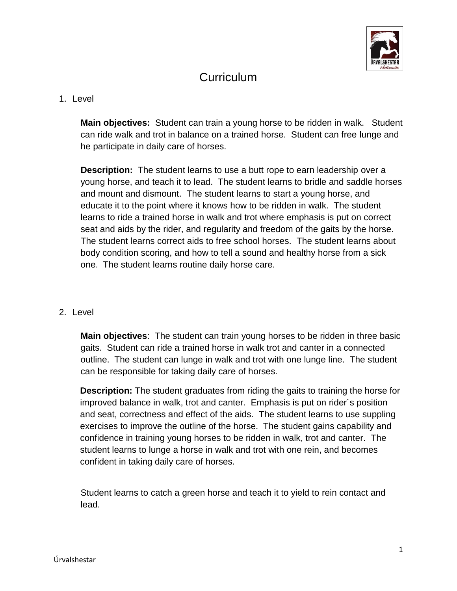

## **Curriculum**

## 1. Level

**Main objectives:** Student can train a young horse to be ridden in walk. Student can ride walk and trot in balance on a trained horse. Student can free lunge and he participate in daily care of horses.

**Description:** The student learns to use a butt rope to earn leadership over a young horse, and teach it to lead. The student learns to bridle and saddle horses and mount and dismount. The student learns to start a young horse, and educate it to the point where it knows how to be ridden in walk. The student learns to ride a trained horse in walk and trot where emphasis is put on correct seat and aids by the rider, and regularity and freedom of the gaits by the horse. The student learns correct aids to free school horses. The student learns about body condition scoring, and how to tell a sound and healthy horse from a sick one. The student learns routine daily horse care.

## 2. Level

**Main objectives**: The student can train young horses to be ridden in three basic gaits. Student can ride a trained horse in walk trot and canter in a connected outline. The student can lunge in walk and trot with one lunge line. The student can be responsible for taking daily care of horses.

**Description:** The student graduates from riding the gaits to training the horse for improved balance in walk, trot and canter. Emphasis is put on rider´s position and seat, correctness and effect of the aids. The student learns to use suppling exercises to improve the outline of the horse. The student gains capability and confidence in training young horses to be ridden in walk, trot and canter. The student learns to lunge a horse in walk and trot with one rein, and becomes confident in taking daily care of horses.

Student learns to catch a green horse and teach it to yield to rein contact and lead.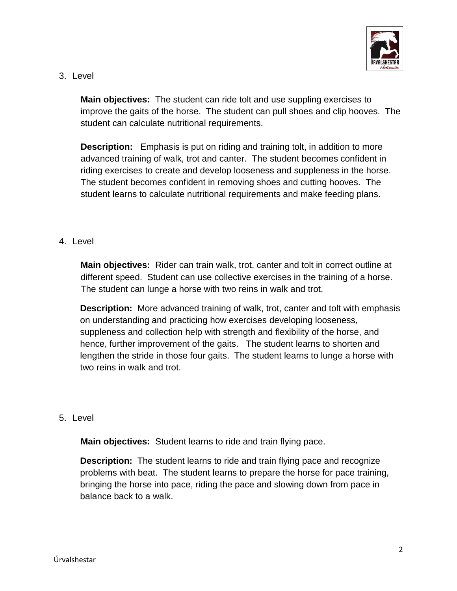

3. Level

**Main objectives:** The student can ride tolt and use suppling exercises to improve the gaits of the horse. The student can pull shoes and clip hooves. The student can calculate nutritional requirements.

**Description:** Emphasis is put on riding and training tolt, in addition to more advanced training of walk, trot and canter. The student becomes confident in riding exercises to create and develop looseness and suppleness in the horse. The student becomes confident in removing shoes and cutting hooves. The student learns to calculate nutritional requirements and make feeding plans.

## 4. Level

**Main objectives:** Rider can train walk, trot, canter and tolt in correct outline at different speed. Student can use collective exercises in the training of a horse. The student can lunge a horse with two reins in walk and trot.

**Description:** More advanced training of walk, trot, canter and tolt with emphasis on understanding and practicing how exercises developing looseness, suppleness and collection help with strength and flexibility of the horse, and hence, further improvement of the gaits. The student learns to shorten and lengthen the stride in those four gaits. The student learns to lunge a horse with two reins in walk and trot.

5. Level

**Main objectives:** Student learns to ride and train flying pace.

**Description:** The student learns to ride and train flying pace and recognize problems with beat. The student learns to prepare the horse for pace training, bringing the horse into pace, riding the pace and slowing down from pace in balance back to a walk.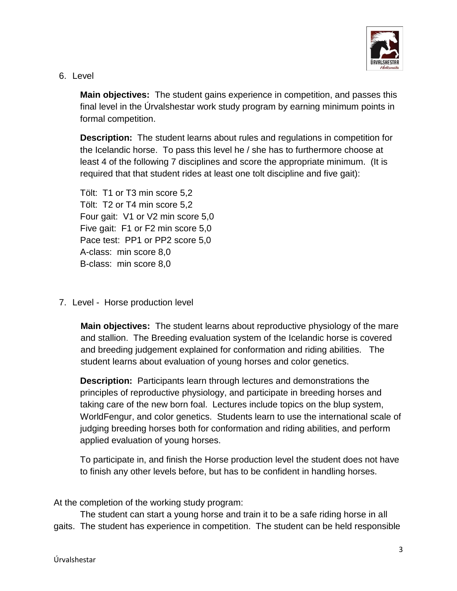

6. Level

**Main objectives:** The student gains experience in competition, and passes this final level in the Úrvalshestar work study program by earning minimum points in formal competition.

**Description:** The student learns about rules and regulations in competition for the Icelandic horse. To pass this level he / she has to furthermore choose at least 4 of the following 7 disciplines and score the appropriate minimum. (It is required that that student rides at least one tolt discipline and five gait):

Tölt: T1 or T3 min score 5,2 Tölt: T2 or T4 min score 5,2 Four gait: V1 or V2 min score 5,0 Five gait: F1 or F2 min score 5,0 Pace test: PP1 or PP2 score 5,0 A-class: min score 8,0 B-class: min score 8,0

7. Level - Horse production level

**Main objectives:** The student learns about reproductive physiology of the mare and stallion. The Breeding evaluation system of the Icelandic horse is covered and breeding judgement explained for conformation and riding abilities. The student learns about evaluation of young horses and color genetics.

**Description:** Participants learn through lectures and demonstrations the principles of reproductive physiology, and participate in breeding horses and taking care of the new born foal. Lectures include topics on the blup system, WorldFengur, and color genetics. Students learn to use the international scale of judging breeding horses both for conformation and riding abilities, and perform applied evaluation of young horses.

To participate in, and finish the Horse production level the student does not have to finish any other levels before, but has to be confident in handling horses.

At the completion of the working study program:

The student can start a young horse and train it to be a safe riding horse in all gaits. The student has experience in competition. The student can be held responsible